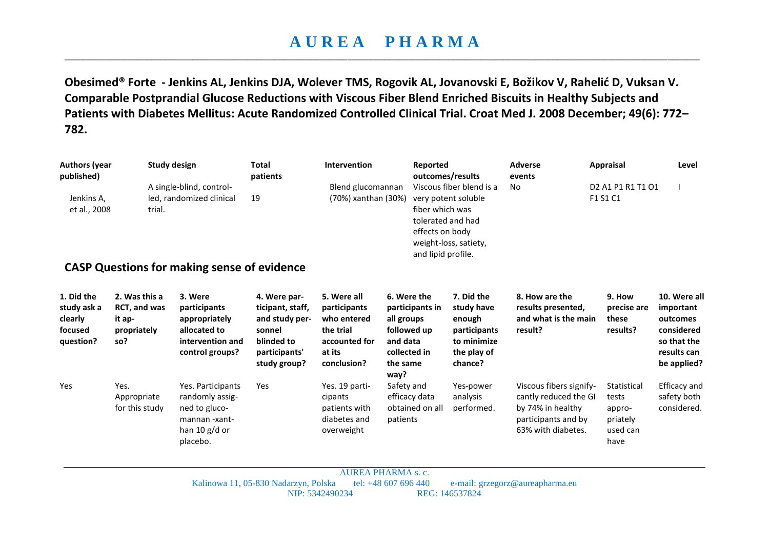## **A U R E A P H A R M A**  \_\_\_\_\_\_\_\_\_\_\_\_\_\_\_\_\_\_\_\_\_\_\_\_\_\_\_\_\_\_\_\_\_\_\_\_\_\_\_\_\_\_\_\_\_\_\_\_\_\_\_\_\_\_\_\_\_\_\_\_\_\_\_\_\_\_\_\_\_\_\_\_\_\_\_\_\_\_\_\_\_\_\_\_\_\_\_\_\_\_\_\_\_\_\_\_\_\_\_\_\_\_\_\_\_\_\_\_\_\_\_\_\_\_\_\_\_\_\_\_\_\_\_\_\_\_\_\_\_\_\_\_\_\_\_\_\_\_\_

**Obesimed® Forte - Jenkins AL, Jenkins DJA, Wolever TMS, Rogovik AL, Jovanovski E, Božikov V, Rahelić D, Vuksan V. Comparable Postprandial Glucose Reductions with Viscous Fiber Blend Enriched Biscuits in Healthy Subjects and Patients with Diabetes Mellitus: Acute Randomized Controlled Clinical Trial. Croat Med J. 2008 December; 49(6): 772– 782.** 

| <b>Authors (year</b><br>published)<br>Jenkins A,<br>et al., 2008 |                                                                      | <b>Study design</b><br>A single-blind, control-<br>led, randomized clinical<br>trial.<br><b>CASP Questions for making sense of evidence</b> | <b>Total</b><br>patients<br>19                                                                              | Intervention<br>Blend glucomannan<br>(70%) xanthan (30%)                                          |                                                                                                             | Reported<br>outcomes/results<br>Viscous fiber blend is a<br>very potent soluble<br>fiber which was<br>tolerated and had<br>effects on body<br>weight-loss, satiety,<br>and lipid profile. |                                                                                             | <b>Adverse</b><br>events<br>No                                                                                     | Appraisal<br>D <sub>2</sub> A <sub>1</sub> P <sub>1</sub> R <sub>1</sub> T <sub>1</sub> O <sub>1</sub><br>F1 S1 C1 | Level                                                                                            |
|------------------------------------------------------------------|----------------------------------------------------------------------|---------------------------------------------------------------------------------------------------------------------------------------------|-------------------------------------------------------------------------------------------------------------|---------------------------------------------------------------------------------------------------|-------------------------------------------------------------------------------------------------------------|-------------------------------------------------------------------------------------------------------------------------------------------------------------------------------------------|---------------------------------------------------------------------------------------------|--------------------------------------------------------------------------------------------------------------------|--------------------------------------------------------------------------------------------------------------------|--------------------------------------------------------------------------------------------------|
| 1. Did the<br>study ask a<br>clearly<br>focused<br>question?     | 2. Was this a<br><b>RCT, and was</b><br>it ap-<br>propriately<br>so? | 3. Were<br>participants<br>appropriately<br>allocated to<br>intervention and<br>control groups?                                             | 4. Were par-<br>ticipant, staff,<br>and study per-<br>sonnel<br>blinded to<br>participants'<br>study group? | 5. Were all<br>participants<br>who entered<br>the trial<br>accounted for<br>at its<br>conclusion? | 6. Were the<br>participants in<br>all groups<br>followed up<br>and data<br>collected in<br>the same<br>way? |                                                                                                                                                                                           | 7. Did the<br>study have<br>enough<br>participants<br>to minimize<br>the play of<br>chance? | 8. How are the<br>results presented,<br>and what is the main<br>result?                                            | 9. How<br>precise are<br>these<br>results?                                                                         | 10. Were all<br>important<br>outcomes<br>considered<br>so that the<br>results can<br>be applied? |
| Yes                                                              | Yes.<br>Appropriate<br>for this study                                | Yes. Participants<br>randomly assig-<br>ned to gluco-<br>mannan-xant-<br>han $10 g/d$ or<br>placebo.                                        | Yes                                                                                                         | Yes. 19 parti-<br>cipants<br>patients with<br>diabetes and<br>overweight                          | Safety and<br>efficacy data<br>obtained on all<br>patients                                                  |                                                                                                                                                                                           | Yes-power<br>analysis<br>performed.                                                         | Viscous fibers signify-<br>cantly reduced the GI<br>by 74% in healthy<br>participants and by<br>63% with diabetes. | Statistical<br>tests<br>appro-<br>priately<br>used can<br>have                                                     | <b>Efficacy and</b><br>safety both<br>considered.                                                |